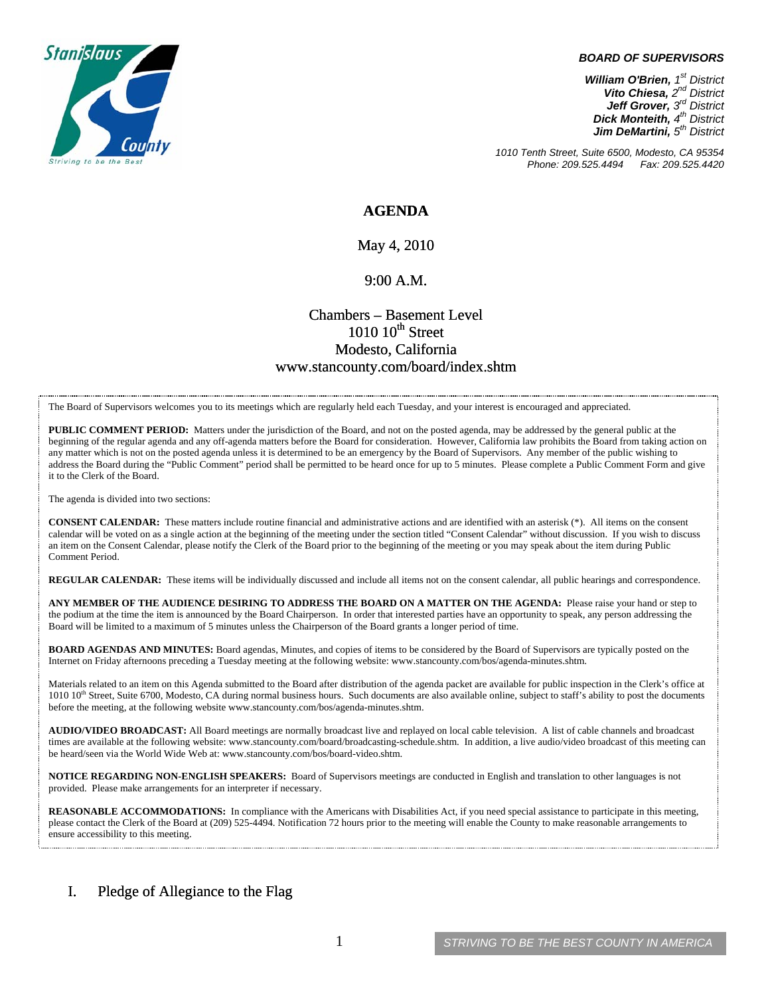

#### *BOARD OF SUPERVISORS*

*William O'Brien, 1st District Vito Chiesa, 2nd District Jeff Grover, 3rd District Dick Monteith, 4th District Jim DeMartini, 5th District*

*1010 Tenth Street, Suite 6500, Modesto, CA 95354 Phone: 209.525.4494* 

### **AGENDA**

### May 4, 2010

### 9:00 A.M.

### Chambers – Basement Level  $1010~10$ <sup>th</sup> Street Modesto, California www.stancounty.com/board/index.shtm

The Board of Supervisors welcomes you to its meetings which are regularly held each Tuesday, and your interest is encouraged and appreciated.

**PUBLIC COMMENT PERIOD:** Matters under the jurisdiction of the Board, and not on the posted agenda, may be addressed by the general public at the beginning of the regular agenda and any off-agenda matters before the Board for consideration. However, California law prohibits the Board from taking action on any matter which is not on the posted agenda unless it is determined to be an emergency by the Board of Supervisors. Any member of the public wishing to address the Board during the "Public Comment" period shall be permitted to be heard once for up to 5 minutes. Please complete a Public Comment Form and give it to the Clerk of the Board.

The agenda is divided into two sections:

**CONSENT CALENDAR:** These matters include routine financial and administrative actions and are identified with an asterisk (\*). All items on the consent calendar will be voted on as a single action at the beginning of the meeting under the section titled "Consent Calendar" without discussion. If you wish to discuss an item on the Consent Calendar, please notify the Clerk of the Board prior to the beginning of the meeting or you may speak about the item during Public Comment Period.

**REGULAR CALENDAR:** These items will be individually discussed and include all items not on the consent calendar, all public hearings and correspondence.

**ANY MEMBER OF THE AUDIENCE DESIRING TO ADDRESS THE BOARD ON A MATTER ON THE AGENDA:** Please raise your hand or step to the podium at the time the item is announced by the Board Chairperson. In order that interested parties have an opportunity to speak, any person addressing the Board will be limited to a maximum of 5 minutes unless the Chairperson of the Board grants a longer period of time.

**BOARD AGENDAS AND MINUTES:** Board agendas, Minutes, and copies of items to be considered by the Board of Supervisors are typically posted on the Internet on Friday afternoons preceding a Tuesday meeting at the following website: www.stancounty.com/bos/agenda-minutes.shtm.

Materials related to an item on this Agenda submitted to the Board after distribution of the agenda packet are available for public inspection in the Clerk's office at 1010 10<sup>th</sup> Street, Suite 6700, Modesto, CA during normal business hours. Such documents are also available online, subject to staff's ability to post the documents before the meeting, at the following website www.stancounty.com/bos/agenda-minutes.shtm.

**AUDIO/VIDEO BROADCAST:** All Board meetings are normally broadcast live and replayed on local cable television. A list of cable channels and broadcast times are available at the following website: www.stancounty.com/board/broadcasting-schedule.shtm. In addition, a live audio/video broadcast of this meeting can be heard/seen via the World Wide Web at: www.stancounty.com/bos/board-video.shtm.

**NOTICE REGARDING NON-ENGLISH SPEAKERS:** Board of Supervisors meetings are conducted in English and translation to other languages is not provided. Please make arrangements for an interpreter if necessary.

**REASONABLE ACCOMMODATIONS:** In compliance with the Americans with Disabilities Act, if you need special assistance to participate in this meeting, please contact the Clerk of the Board at (209) 525-4494. Notification 72 hours prior to the meeting will enable the County to make reasonable arrangements to ensure accessibility to this meeting.

### I. Pledge of Allegiance to the Flag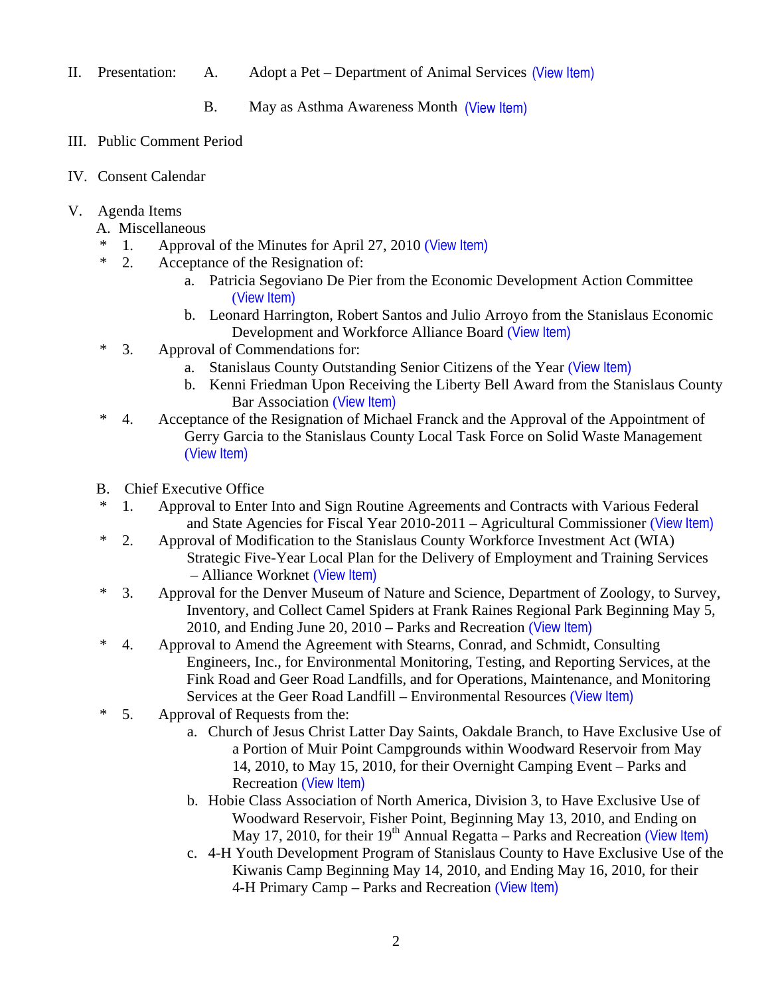II. Presentation: A. Adopt a Pet – Department of Animal Services (View Item)

B. May as Asthma Awareness Month (View Item)

- III. Public Comment Period
- IV. Consent Calendar
- V. Agenda Items
	- A. Miscellaneous
	- \* 1. Approval of the Minutes for April 27, 2010 ([View Item\)](http://www.stancounty.com/bos/minutes/2010/min04-27-10.pdf)
	- \* 2. Acceptance of the Resignation of:
		- a. Patricia Segoviano De Pier from the Economic Development Action Committee ([View Item\)](http://www.stancounty.com/bos/agenda/2010/20100504/A02a.pdf)
		- b. Leonard Harrington, Robert Santos and Julio Arroyo from the Stanislaus Economic Development and Workforce Alliance Board ([View Item\)](http://www.stancounty.com/bos/agenda/2010/20100504/A02b.pdf)
	- \* 3. Approval of Commendations for:
		- a. Stanislaus County Outstanding Senior Citizens of the Year ([View Item\)](http://www.stancounty.com/bos/agenda/2010/20100504/A03a.pdf)
		- b. Kenni Friedman Upon Receiving the Liberty Bell Award from the Stanislaus County Bar Association ([View Item\)](http://www.stancounty.com/bos/agenda/2010/20100504/A03b.pdf)
	- \* 4. Acceptance of the Resignation of Michael Franck and the Approval of the Appointment of Gerry Garcia to the Stanislaus County Local Task Force on Solid Waste Management ([View Item\)](http://www.stancounty.com/bos/agenda/2010/20100504/A04.pdf)
	- B. Chief Executive Office
	- \* 1. Approval to Enter Into and Sign Routine Agreements and Contracts with Various Federal and State Agencies for Fiscal Year 2010-2011 – Agricultural Commissioner ([View Item\)](http://www.stancounty.com/bos/agenda/2010/20100504/B01.pdf)
	- \* 2. Approval of Modification to the Stanislaus County Workforce Investment Act (WIA) Strategic Five-Year Local Plan for the Delivery of Employment and Training Services – Alliance Worknet ([View Item\)](http://www.stancounty.com/bos/agenda/2010/20100504/B02.pdf)
	- \* 3. Approval for the Denver Museum of Nature and Science, Department of Zoology, to Survey, Inventory, and Collect Camel Spiders at Frank Raines Regional Park Beginning May 5, 2010, and Ending June 20, 2010 – Parks and Recreation ([View Item\)](http://www.stancounty.com/bos/agenda/2010/20100504/B03.pdf)
	- \* 4. Approval to Amend the Agreement with Stearns, Conrad, and Schmidt, Consulting Engineers, Inc., for Environmental Monitoring, Testing, and Reporting Services, at the Fink Road and Geer Road Landfills, and for Operations, Maintenance, and Monitoring Services at the Geer Road Landfill – Environmental Resources ([View Item\)](http://www.stancounty.com/bos/agenda/2010/20100504/B04.pdf)
	- \* 5. Approval of Requests from the:
		- a. Church of Jesus Christ Latter Day Saints, Oakdale Branch, to Have Exclusive Use of a Portion of Muir Point Campgrounds within Woodward Reservoir from May 14, 2010, to May 15, 2010, for their Overnight Camping Event – Parks and Recreation ([View Item\)](http://www.stancounty.com/bos/agenda/2010/20100504/B05a.pdf)
		- b. Hobie Class Association of North America, Division 3, to Have Exclusive Use of Woodward Reservoir, Fisher Point, Beginning May 13, 2010, and Ending on May 17, 2010, for their  $19<sup>th</sup>$  Annual Regatta – Parks and Recreation ([View Item\)](http://www.stancounty.com/bos/agenda/2010/20100504/B05b.pdf)
		- c. 4-H Youth Development Program of Stanislaus County to Have Exclusive Use of the Kiwanis Camp Beginning May 14, 2010, and Ending May 16, 2010, for their 4-H Primary Camp – Parks and Recreation ([View Item\)](http://www.stancounty.com/bos/agenda/2010/20100504/B05c.pdf)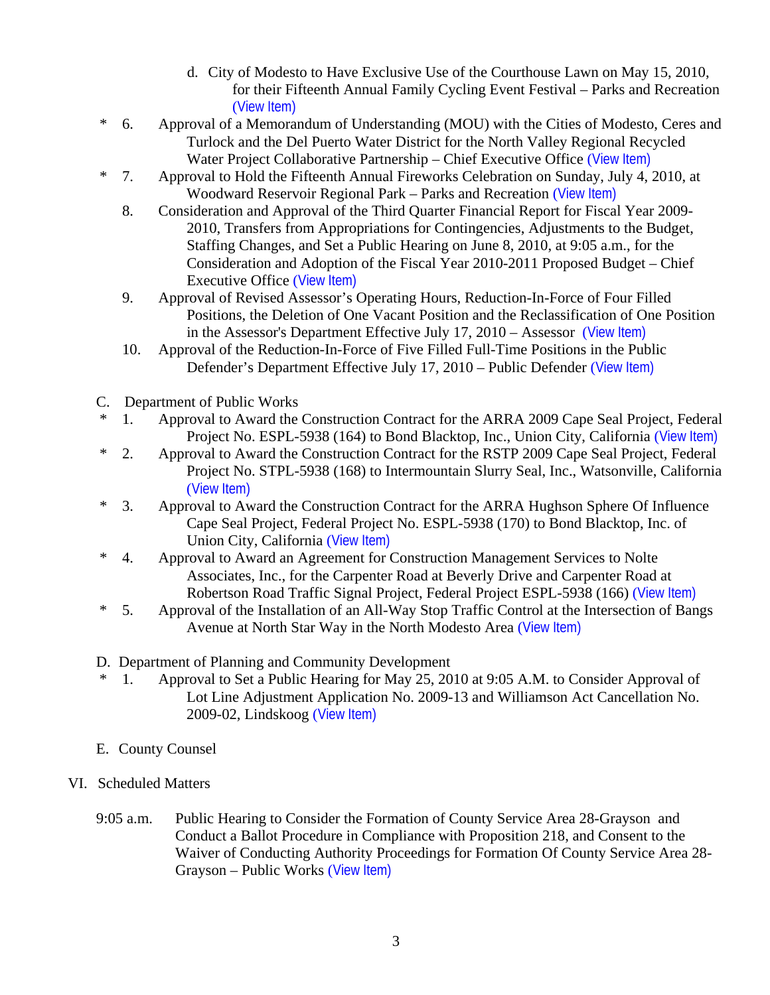- d. City of Modesto to Have Exclusive Use of the Courthouse Lawn on May 15, 2010, for their Fifteenth Annual Family Cycling Event Festival – Parks and Recreation ([View Item\)](http://www.stancounty.com/bos/agenda/2010/20100504/B05d.pdf)
- \* 6. Approval of a Memorandum of Understanding (MOU) with the Cities of Modesto, Ceres and Turlock and the Del Puerto Water District for the North Valley Regional Recycled Water Project Collaborative Partnership – Chief Executive Office ([View Item\)](http://www.stancounty.com/bos/agenda/2010/20100504/B06.pdf)
- \* 7. Approval to Hold the Fifteenth Annual Fireworks Celebration on Sunday, July 4, 2010, at Woodward Reservoir Regional Park – Parks and Recreation ([View Item\)](http://www.stancounty.com/bos/agenda/2010/20100504/B07.pdf)
	- 8. Consideration and Approval of the Third Quarter Financial Report for Fiscal Year 2009- 2010, Transfers from Appropriations for Contingencies, Adjustments to the Budget, Staffing Changes, and Set a Public Hearing on June 8, 2010, at 9:05 a.m., for the Consideration and Adoption of the Fiscal Year 2010-2011 Proposed Budget – Chief Executive Office ([View Item\)](http://www.stancounty.com/bos/agenda/2010/20100504/B08.pdf)
	- 9. Approval of Revised Assessor's Operating Hours, Reduction-In-Force of Four Filled Positions, the Deletion of One Vacant Position and the Reclassification of One Position in the Assessor's Department Effective July 17, 2010 – Assessor ([View Item\)](http://www.stancounty.com/bos/agenda/2010/20100504/B09.pdf)
	- 10. Approval of the Reduction-In-Force of Five Filled Full-Time Positions in the Public Defender's Department Effective July 17, 2010 – Public Defender ([View Item\)](http://www.stancounty.com/bos/agenda/2010/20100504/B10.pdf)
- C. Department of Public Works
- 1. Approval to Award the Construction Contract for the ARRA 2009 Cape Seal Project, Federal Project No. ESPL-5938 (164) to Bond Blacktop, Inc., Union City, California ([View Item\)](http://www.stancounty.com/bos/agenda/2010/20100504/C01.pdf)
- \* 2. Approval to Award the Construction Contract for the RSTP 2009 Cape Seal Project, Federal Project No. STPL-5938 (168) to Intermountain Slurry Seal, Inc., Watsonville, California ([View Item\)](http://www.stancounty.com/bos/agenda/2010/20100504/C02.pdf)
- \* 3. Approval to Award the Construction Contract for the ARRA Hughson Sphere Of Influence Cape Seal Project, Federal Project No. ESPL-5938 (170) to Bond Blacktop, Inc. of Union City, California ([View Item\)](http://www.stancounty.com/bos/agenda/2010/20100504/C03.pdf)
- \* 4. Approval to Award an Agreement for Construction Management Services to Nolte Associates, Inc., for the Carpenter Road at Beverly Drive and Carpenter Road at Robertson Road Traffic Signal Project, Federal Project ESPL-5938 (166) ([View Item\)](http://www.stancounty.com/bos/agenda/2010/20100504/C04.pdf)
- \* 5. Approval of the Installation of an All-Way Stop Traffic Control at the Intersection of Bangs Avenue at North Star Way in the North Modesto Area ([View Item\)](http://www.stancounty.com/bos/agenda/2010/20100504/C05.pdf)
- D. Department of Planning and Community Development
- \* 1. Approval to Set a Public Hearing for May 25, 2010 at 9:05 A.M. to Consider Approval of Lot Line Adjustment Application No. 2009-13 and Williamson Act Cancellation No. 2009-02, Lindskoog ([View Item\)](http://www.stancounty.com/bos/agenda/2010/20100504/D01.pdf)
- E. County Counsel
- VI. Scheduled Matters
	- 9:05 a.m. Public Hearing to Consider the Formation of County Service Area 28-Grayson and Conduct a Ballot Procedure in Compliance with Proposition 218, and Consent to the Waiver of Conducting Authority Proceedings for Formation Of County Service Area 28- Grayson – Public Works ([View Item\)](http://www.stancounty.com/bos/agenda/2010/20100504/PH905.pdf)